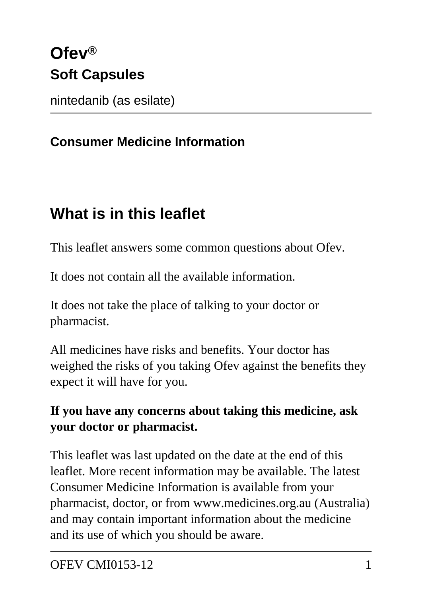# **Ofev® Soft Capsules**

nintedanib (as esilate)

#### **Consumer Medicine Information**

## **What is in this leaflet**

This leaflet answers some common questions about Ofev.

It does not contain all the available information.

It does not take the place of talking to your doctor or pharmacist.

All medicines have risks and benefits. Your doctor has weighed the risks of you taking Ofev against the benefits they expect it will have for you.

#### **If you have any concerns about taking this medicine, ask your doctor or pharmacist.**

This leaflet was last updated on the date at the end of this leaflet. More recent information may be available. The latest Consumer Medicine Information is available from your pharmacist, doctor, or from www.medicines.org.au (Australia) and may contain important information about the medicine and its use of which you should be aware.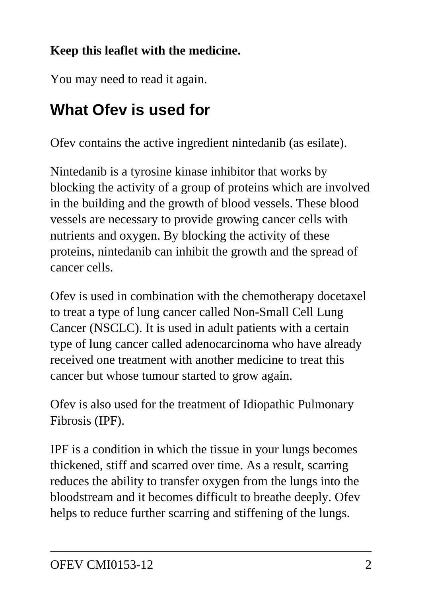#### **Keep this leaflet with the medicine.**

You may need to read it again.

## **What Ofev is used for**

Ofev contains the active ingredient nintedanib (as esilate).

Nintedanib is a tyrosine kinase inhibitor that works by blocking the activity of a group of proteins which are involved in the building and the growth of blood vessels. These blood vessels are necessary to provide growing cancer cells with nutrients and oxygen. By blocking the activity of these proteins, nintedanib can inhibit the growth and the spread of cancer cells.

Ofev is used in combination with the chemotherapy docetaxel to treat a type of lung cancer called Non-Small Cell Lung Cancer (NSCLC). It is used in adult patients with a certain type of lung cancer called adenocarcinoma who have already received one treatment with another medicine to treat this cancer but whose tumour started to grow again.

Ofev is also used for the treatment of Idiopathic Pulmonary Fibrosis (IPF).

IPF is a condition in which the tissue in your lungs becomes thickened, stiff and scarred over time. As a result, scarring reduces the ability to transfer oxygen from the lungs into the bloodstream and it becomes difficult to breathe deeply. Ofev helps to reduce further scarring and stiffening of the lungs.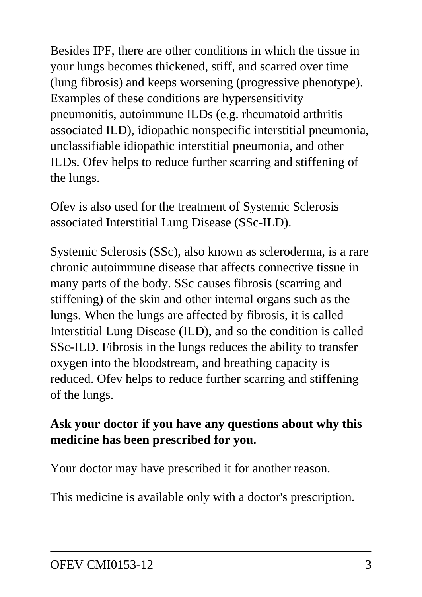Besides IPF, there are other conditions in which the tissue in your lungs becomes thickened, stiff, and scarred over time (lung fibrosis) and keeps worsening (progressive phenotype). Examples of these conditions are hypersensitivity pneumonitis, autoimmune ILDs (e.g. rheumatoid arthritis associated ILD), idiopathic nonspecific interstitial pneumonia, unclassifiable idiopathic interstitial pneumonia, and other ILDs. Ofev helps to reduce further scarring and stiffening of the lungs.

Ofev is also used for the treatment of Systemic Sclerosis associated Interstitial Lung Disease (SSc-ILD).

Systemic Sclerosis (SSc), also known as scleroderma, is a rare chronic autoimmune disease that affects connective tissue in many parts of the body. SSc causes fibrosis (scarring and stiffening) of the skin and other internal organs such as the lungs. When the lungs are affected by fibrosis, it is called Interstitial Lung Disease (ILD), and so the condition is called SSc-ILD. Fibrosis in the lungs reduces the ability to transfer oxygen into the bloodstream, and breathing capacity is reduced. Ofev helps to reduce further scarring and stiffening of the lungs.

#### **Ask your doctor if you have any questions about why this medicine has been prescribed for you.**

Your doctor may have prescribed it for another reason.

This medicine is available only with a doctor's prescription.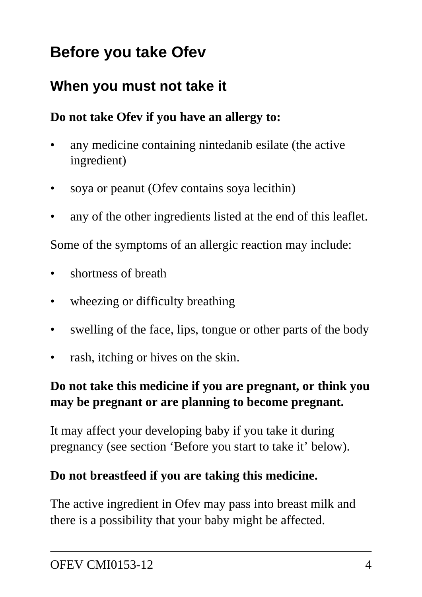## **Before you take Ofev**

### **When you must not take it**

#### **Do not take Ofev if you have an allergy to:**

- any medicine containing nintedanib esilate (the active ingredient)
- soya or peanut (Ofev contains soya lecithin)
- any of the other ingredients listed at the end of this leaflet.

Some of the symptoms of an allergic reaction may include:

- shortness of breath
- wheezing or difficulty breathing
- swelling of the face, lips, tongue or other parts of the body
- rash, itching or hives on the skin.

#### **Do not take this medicine if you are pregnant, or think you may be pregnant or are planning to become pregnant.**

It may affect your developing baby if you take it during pregnancy (see section 'Before you start to take it' below).

#### **Do not breastfeed if you are taking this medicine.**

The active ingredient in Ofev may pass into breast milk and there is a possibility that your baby might be affected.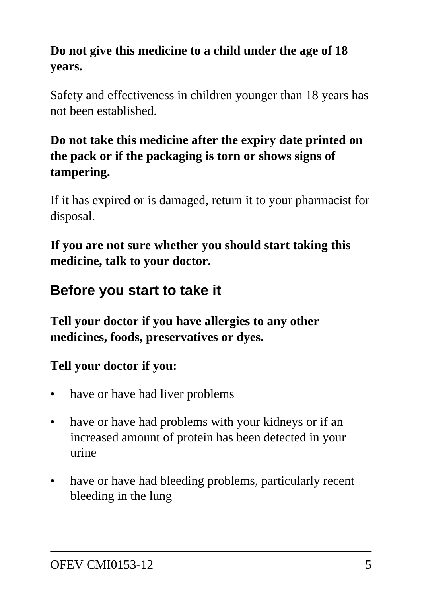#### **Do not give this medicine to a child under the age of 18 years.**

Safety and effectiveness in children younger than 18 years has not been established.

#### **Do not take this medicine after the expiry date printed on the pack or if the packaging is torn or shows signs of tampering.**

If it has expired or is damaged, return it to your pharmacist for disposal.

**If you are not sure whether you should start taking this medicine, talk to your doctor.**

### **Before you start to take it**

**Tell your doctor if you have allergies to any other medicines, foods, preservatives or dyes.**

#### **Tell your doctor if you:**

- have or have had liver problems
- have or have had problems with your kidneys or if an increased amount of protein has been detected in your urine
- have or have had bleeding problems, particularly recent bleeding in the lung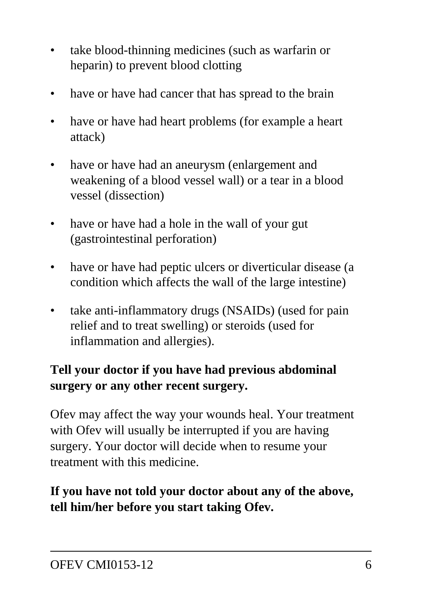- take blood-thinning medicines (such as warfarin or heparin) to prevent blood clotting
- have or have had cancer that has spread to the brain
- have or have had heart problems (for example a heart attack)
- have or have had an aneurysm (enlargement and weakening of a blood vessel wall) or a tear in a blood vessel (dissection)
- have or have had a hole in the wall of your gut (gastrointestinal perforation)
- have or have had peptic ulcers or diverticular disease (a condition which affects the wall of the large intestine)
- take anti-inflammatory drugs (NSAIDs) (used for pain relief and to treat swelling) or steroids (used for inflammation and allergies).

#### **Tell your doctor if you have had previous abdominal surgery or any other recent surgery.**

Ofev may affect the way your wounds heal. Your treatment with Ofev will usually be interrupted if you are having surgery. Your doctor will decide when to resume your treatment with this medicine.

#### **If you have not told your doctor about any of the above, tell him/her before you start taking Ofev.**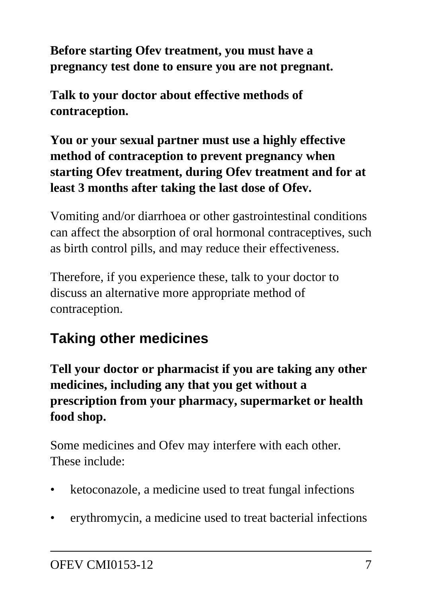**Before starting Ofev treatment, you must have a pregnancy test done to ensure you are not pregnant.**

**Talk to your doctor about effective methods of contraception.**

**You or your sexual partner must use a highly effective method of contraception to prevent pregnancy when starting Ofev treatment, during Ofev treatment and for at least 3 months after taking the last dose of Ofev.**

Vomiting and/or diarrhoea or other gastrointestinal conditions can affect the absorption of oral hormonal contraceptives, such as birth control pills, and may reduce their effectiveness.

Therefore, if you experience these, talk to your doctor to discuss an alternative more appropriate method of contraception.

## **Taking other medicines**

**Tell your doctor or pharmacist if you are taking any other medicines, including any that you get without a prescription from your pharmacy, supermarket or health food shop.**

Some medicines and Ofev may interfere with each other. These include:

- ketoconazole, a medicine used to treat fungal infections
- erythromycin, a medicine used to treat bacterial infections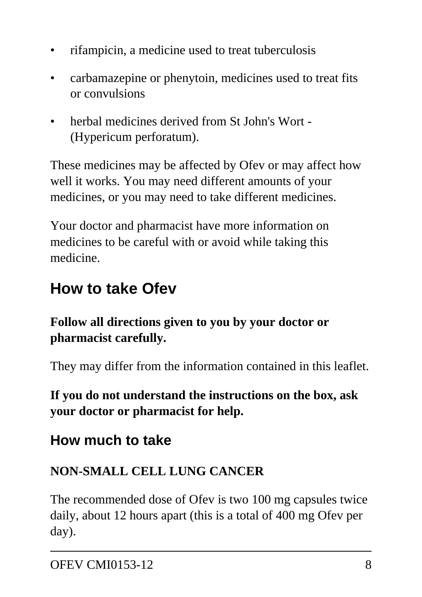- rifampicin, a medicine used to treat tuberculosis
- carbamazepine or phenytoin, medicines used to treat fits or convulsions
- herbal medicines derived from St John's Wort (Hypericum perforatum).

These medicines may be affected by Ofev or may affect how well it works. You may need different amounts of your medicines, or you may need to take different medicines.

Your doctor and pharmacist have more information on medicines to be careful with or avoid while taking this medicine.

## **How to take Ofev**

**Follow all directions given to you by your doctor or pharmacist carefully.**

They may differ from the information contained in this leaflet.

**If you do not understand the instructions on the box, ask your doctor or pharmacist for help.**

### **How much to take**

#### **NON-SMALL CELL LUNG CANCER**

The recommended dose of Ofev is two 100 mg capsules twice daily, about 12 hours apart (this is a total of 400 mg Ofev per day).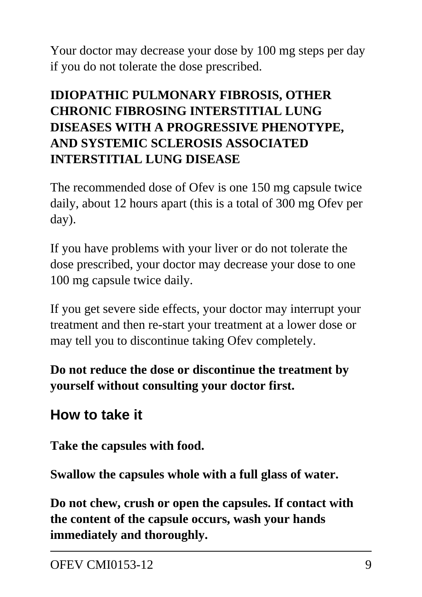Your doctor may decrease your dose by 100 mg steps per day if you do not tolerate the dose prescribed.

#### **IDIOPATHIC PULMONARY FIBROSIS, OTHER CHRONIC FIBROSING INTERSTITIAL LUNG DISEASES WITH A PROGRESSIVE PHENOTYPE, AND SYSTEMIC SCLEROSIS ASSOCIATED INTERSTITIAL LUNG DISEASE**

The recommended dose of Ofev is one 150 mg capsule twice daily, about 12 hours apart (this is a total of 300 mg Ofev per day).

If you have problems with your liver or do not tolerate the dose prescribed, your doctor may decrease your dose to one 100 mg capsule twice daily.

If you get severe side effects, your doctor may interrupt your treatment and then re-start your treatment at a lower dose or may tell you to discontinue taking Ofev completely.

**Do not reduce the dose or discontinue the treatment by yourself without consulting your doctor first.**

### **How to take it**

**Take the capsules with food.**

**Swallow the capsules whole with a full glass of water.**

**Do not chew, crush or open the capsules. If contact with the content of the capsule occurs, wash your hands immediately and thoroughly.**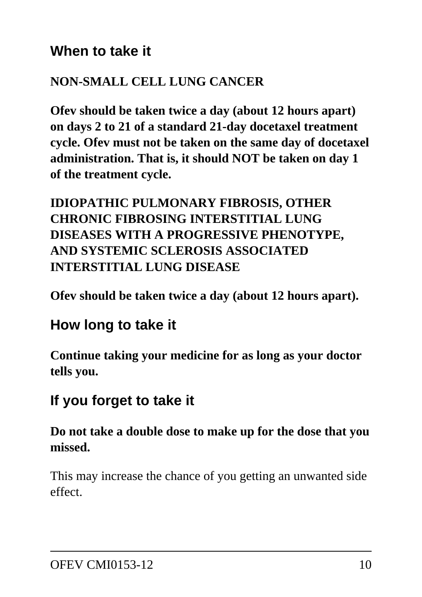#### **When to take it**

#### **NON-SMALL CELL LUNG CANCER**

**Ofev should be taken twice a day (about 12 hours apart) on days 2 to 21 of a standard 21-day docetaxel treatment cycle. Ofev must not be taken on the same day of docetaxel administration. That is, it should NOT be taken on day 1 of the treatment cycle.**

#### **IDIOPATHIC PULMONARY FIBROSIS, OTHER CHRONIC FIBROSING INTERSTITIAL LUNG DISEASES WITH A PROGRESSIVE PHENOTYPE, AND SYSTEMIC SCLEROSIS ASSOCIATED INTERSTITIAL LUNG DISEASE**

**Ofev should be taken twice a day (about 12 hours apart).**

### **How long to take it**

**Continue taking your medicine for as long as your doctor tells you.**

### **If you forget to take it**

**Do not take a double dose to make up for the dose that you missed.**

This may increase the chance of you getting an unwanted side effect.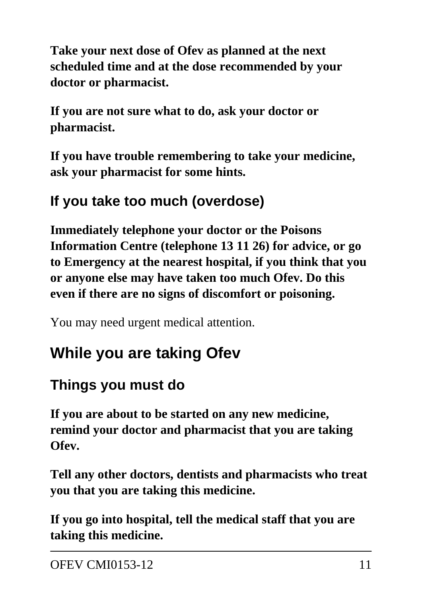**Take your next dose of Ofev as planned at the next scheduled time and at the dose recommended by your doctor or pharmacist.**

**If you are not sure what to do, ask your doctor or pharmacist.**

**If you have trouble remembering to take your medicine, ask your pharmacist for some hints.**

### **If you take too much (overdose)**

**Immediately telephone your doctor or the Poisons Information Centre (telephone 13 11 26) for advice, or go to Emergency at the nearest hospital, if you think that you or anyone else may have taken too much Ofev. Do this even if there are no signs of discomfort or poisoning.**

You may need urgent medical attention.

## **While you are taking Ofev**

### **Things you must do**

**If you are about to be started on any new medicine, remind your doctor and pharmacist that you are taking Ofev.**

**Tell any other doctors, dentists and pharmacists who treat you that you are taking this medicine.**

**If you go into hospital, tell the medical staff that you are taking this medicine.**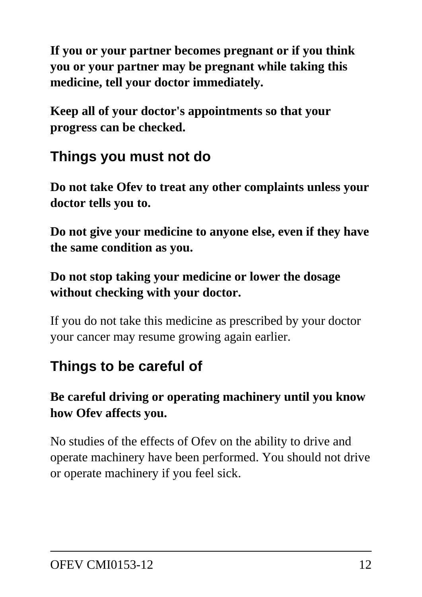**If you or your partner becomes pregnant or if you think you or your partner may be pregnant while taking this medicine, tell your doctor immediately.**

**Keep all of your doctor's appointments so that your progress can be checked.**

### **Things you must not do**

**Do not take Ofev to treat any other complaints unless your doctor tells you to.**

**Do not give your medicine to anyone else, even if they have the same condition as you.**

**Do not stop taking your medicine or lower the dosage without checking with your doctor.**

If you do not take this medicine as prescribed by your doctor your cancer may resume growing again earlier.

### **Things to be careful of**

**Be careful driving or operating machinery until you know how Ofev affects you.**

No studies of the effects of Ofev on the ability to drive and operate machinery have been performed. You should not drive or operate machinery if you feel sick.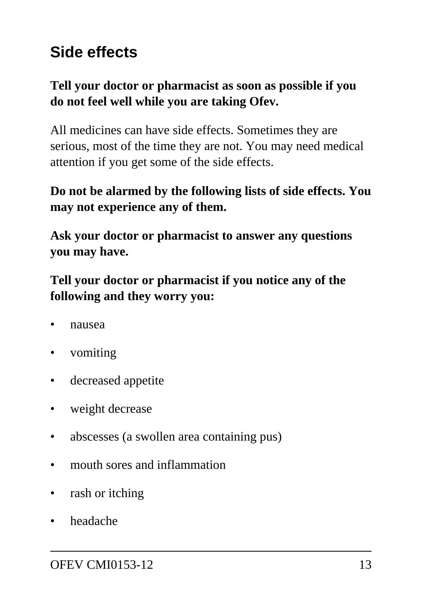## **Side effects**

#### **Tell your doctor or pharmacist as soon as possible if you do not feel well while you are taking Ofev.**

All medicines can have side effects. Sometimes they are serious, most of the time they are not. You may need medical attention if you get some of the side effects.

#### **Do not be alarmed by the following lists of side effects. You may not experience any of them.**

**Ask your doctor or pharmacist to answer any questions you may have.**

**Tell your doctor or pharmacist if you notice any of the following and they worry you:**

- nausea
- vomiting
- decreased appetite
- weight decrease
- abscesses (a swollen area containing pus)
- mouth sores and inflammation
- rash or itching
- headache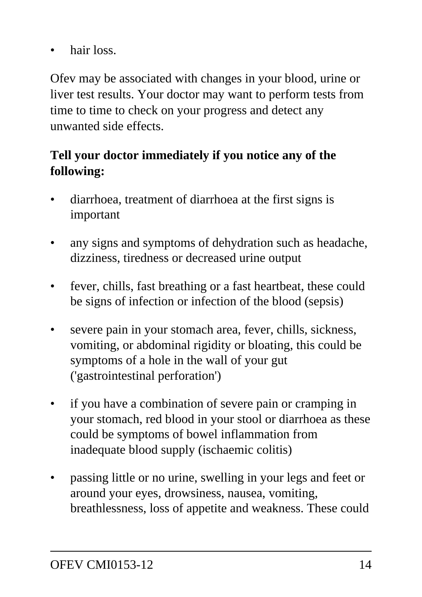hair loss.

Ofev may be associated with changes in your blood, urine or liver test results. Your doctor may want to perform tests from time to time to check on your progress and detect any unwanted side effects.

#### **Tell your doctor immediately if you notice any of the following:**

- diarrhoea, treatment of diarrhoea at the first signs is important
- any signs and symptoms of dehydration such as headache, dizziness, tiredness or decreased urine output
- fever, chills, fast breathing or a fast heartbeat, these could be signs of infection or infection of the blood (sepsis)
- severe pain in your stomach area, fever, chills, sickness, vomiting, or abdominal rigidity or bloating, this could be symptoms of a hole in the wall of your gut ('gastrointestinal perforation')
- if you have a combination of severe pain or cramping in your stomach, red blood in your stool or diarrhoea as these could be symptoms of bowel inflammation from inadequate blood supply (ischaemic colitis)
- passing little or no urine, swelling in your legs and feet or around your eyes, drowsiness, nausea, vomiting, breathlessness, loss of appetite and weakness. These could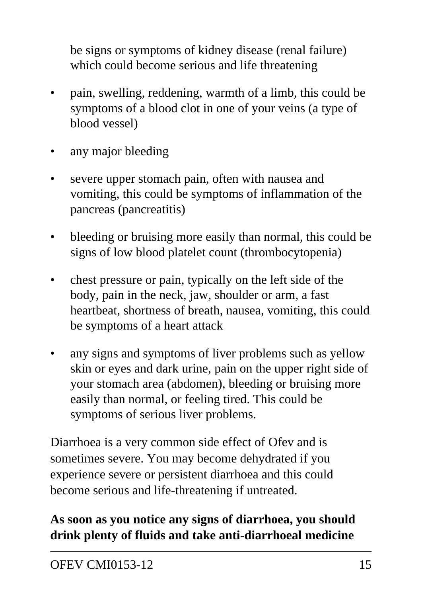be signs or symptoms of kidney disease (renal failure) which could become serious and life threatening

- pain, swelling, reddening, warmth of a limb, this could be symptoms of a blood clot in one of your veins (a type of blood vessel)
- any major bleeding
- severe upper stomach pain, often with nausea and vomiting, this could be symptoms of inflammation of the pancreas (pancreatitis)
- bleeding or bruising more easily than normal, this could be signs of low blood platelet count (thrombocytopenia)
- chest pressure or pain, typically on the left side of the body, pain in the neck, jaw, shoulder or arm, a fast heartbeat, shortness of breath, nausea, vomiting, this could be symptoms of a heart attack
- any signs and symptoms of liver problems such as yellow skin or eyes and dark urine, pain on the upper right side of your stomach area (abdomen), bleeding or bruising more easily than normal, or feeling tired. This could be symptoms of serious liver problems.

Diarrhoea is a very common side effect of Ofev and is sometimes severe. You may become dehydrated if you experience severe or persistent diarrhoea and this could become serious and life-threatening if untreated.

#### **As soon as you notice any signs of diarrhoea, you should drink plenty of fluids and take anti-diarrhoeal medicine**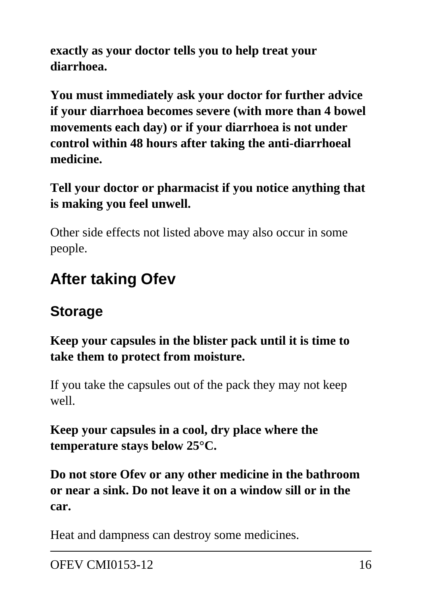**exactly as your doctor tells you to help treat your diarrhoea.**

**You must immediately ask your doctor for further advice if your diarrhoea becomes severe (with more than 4 bowel movements each day) or if your diarrhoea is not under control within 48 hours after taking the anti-diarrhoeal medicine.**

**Tell your doctor or pharmacist if you notice anything that is making you feel unwell.**

Other side effects not listed above may also occur in some people.

# **After taking Ofev**

## **Storage**

#### **Keep your capsules in the blister pack until it is time to take them to protect from moisture.**

If you take the capsules out of the pack they may not keep well.

**Keep your capsules in a cool, dry place where the temperature stays below 25°C.**

**Do not store Ofev or any other medicine in the bathroom or near a sink. Do not leave it on a window sill or in the car.**

Heat and dampness can destroy some medicines.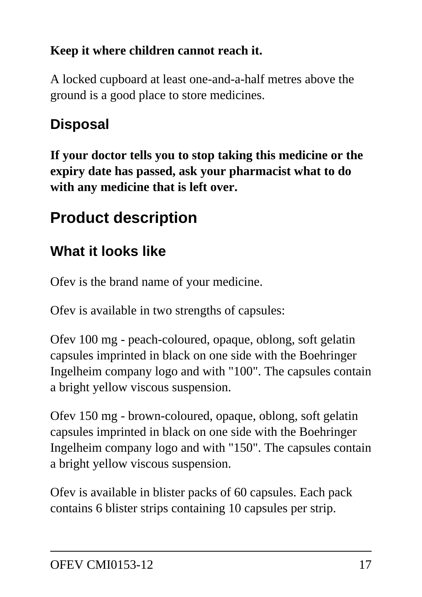#### **Keep it where children cannot reach it.**

A locked cupboard at least one-and-a-half metres above the ground is a good place to store medicines.

## **Disposal**

**If your doctor tells you to stop taking this medicine or the expiry date has passed, ask your pharmacist what to do with any medicine that is left over.**

# **Product description**

## **What it looks like**

Ofev is the brand name of your medicine.

Ofev is available in two strengths of capsules:

Ofev 100 mg - peach-coloured, opaque, oblong, soft gelatin capsules imprinted in black on one side with the Boehringer Ingelheim company logo and with "100". The capsules contain a bright yellow viscous suspension.

Ofev 150 mg - brown-coloured, opaque, oblong, soft gelatin capsules imprinted in black on one side with the Boehringer Ingelheim company logo and with "150". The capsules contain a bright yellow viscous suspension.

Ofev is available in blister packs of 60 capsules. Each pack contains 6 blister strips containing 10 capsules per strip.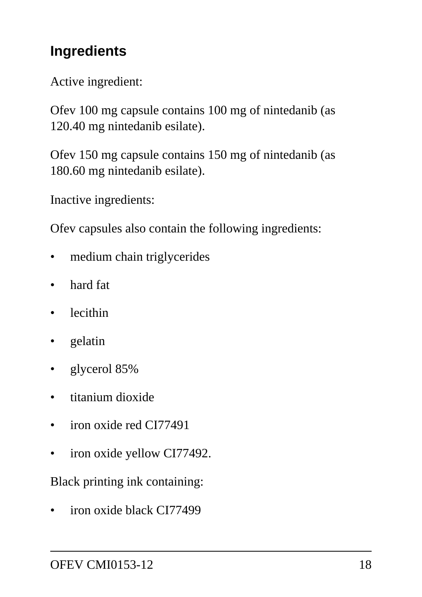### **Ingredients**

Active ingredient:

Ofev 100 mg capsule contains 100 mg of nintedanib (as 120.40 mg nintedanib esilate).

Ofev 150 mg capsule contains 150 mg of nintedanib (as 180.60 mg nintedanib esilate).

Inactive ingredients:

Ofev capsules also contain the following ingredients:

- medium chain triglycerides
- hard fat
- lecithin
- gelatin
- glycerol 85%
- titanium dioxide
- iron oxide red CI77491
- iron oxide yellow CI77492.

Black printing ink containing:

• iron oxide black CI77499